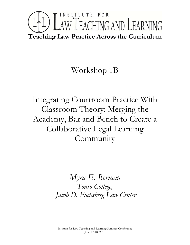# INSTITUTE FOR LTL) LAW TEACHING AND LEARNING **Teaching Law Practice Across the Curriculum**

## Workshop 1B

Integrating Courtroom Practice With Classroom Theory: Merging the Academy, Bar and Bench to Create a Collaborative Legal Learning Community

> *Myra E. Berman Touro College, Jacob D. Fuchsberg Law Center*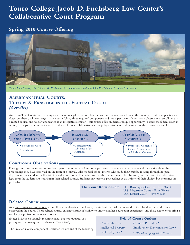### **Touro College Jacob D. Fuchsberg Law Center's Collaborative Court Program**

### **Spring 2010 Course Offering**



*Touro Law Center, The Alfonse M. D'Amato U.S. Courthouse and The John P. Cohalan, Jr. State Courthouse.*

### **AMERICAN TRIAL COURTS: THEORY & PRACTICE IN THE FEDERAL COURT** *(4 credits)*

American Trial Courts is an exciting experiment in legal education. For the first time in any law school in the country, courtroom practice and classroom theory will converge in one course. Using three required components – 4 hours per week of courtroom observations, enrollment in a related course, and weekly attendance at an integrative seminar – this course offers students a unique opportunity to study the federal court in action, participate in some of its work, and learn from a collaborative team of judges, attorneys, and members of the Touro Law faculty.



### **Courtroom Observations**

During courtroom observations, students spend a minimum of four hours per week in designated courtrooms and then write about the proceedings they have observed, in the form of a journal. Like medical school interns who study their craft by rotating through hospital departments, our students will rotate through courtrooms. The rotations, and the proceedings to be observed, correlate with the substantive legal areas the students are studying in their related courses. Students may observe proceedings at days/times of their choice, but mornings are preferable.

> **The Court Rotations are:** U.S. Bankruptcy Court – Three Weeks U.S. Magistrate Court – Four Weeks U.S. District Court – Five Weeks

### **Related Course**

As a prerequisite or co-requisite to enrollment in *American Trial Courts*, the student must take a course directly related to the work being observed in the courts. These related courses enhance a student's ability to understand her courtroom experiences, and those experiences bring a real life perspective to the related course.

(Note: Evidence is strongly recommended, but not required, as a prerequisite or co-requisite to *American Trial Courts*)

### The Related Course component is satisfied by any *one* of the following:

### **Related Course Options:**

Civil Rights Law Intellectual Property Bankruptcy Law\*

Criminal Procedure\* Employment Discrimination Law\*

*\* Offered in Spring 2010 Semester*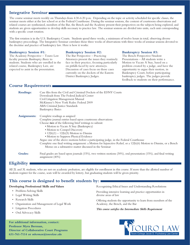### **Integrative Seminar**

The course seminar meets weekly on Thursdays from 4:30-6:20 p.m. Depending on the topic or activity scheduled for specific classes, the seminar meets either at the law school or at the Federal Courthouse. During the seminar sessions, the content of courtroom observations and related courses are synthesized, members of the Bar, the Bench and the Academy present their perspectives on the subjects being explored, and students are given opportunities to develop skills necessary to practice law. The seminar sessions are divided into units, each unit corresponding with a specific court rotation.

The first rotation is in the U.S. Bankruptcy Courts. Students spend three weeks, a minimum of twelve hours in total, observing diverse bankruptcy proceedings. The Integrative Seminar correlates those three weeks of observations with three weeks of seminar sessions devoted to the doctrine and practice of bankruptcy law. Here is how it works:

### **Bankruptcy Session #1:**

The Academy Perspective – Touro Law faculty presents *Bankruptcy Basics* to students. Students who are enrolled in the related course, Bankruptcy Law, are expected to assist in the presentation.

#### **Bankruptcy Session #2:**

The Bar Perspective – Practicing Attorneys present the issues they routinely face in their practice, focusing particularly on pitfalls faced by new attorneys. Discussion of cases focus on those cases currently on the dockets of the Eastern District Bankruptcy Judges.

### **Bankruptcy Session #3:**

The Bench Perspective/Student Presentations – All students write a Motion to Vacate A Stay, based on a problem created by a judge, and have the opportunity to argue their motion, in Bankruptcy Court, before participating bankruptcy judges. The judges provide feedback to students on their performance.

### **Course Requirements**

| <b>Readings:</b> | Case files from the Civil and Criminal Dockets of the EDNY Courts<br>Downloads from The Federal Judicial Center<br>Civil Litigation Management Manual<br>McKinney's New York Rules: Federal 2009<br>ABA Criminal Justice Standards<br><b>Bankruptcy Basics</b>                                                                                                                                                                                                                                                                                                                                 |
|------------------|------------------------------------------------------------------------------------------------------------------------------------------------------------------------------------------------------------------------------------------------------------------------------------------------------------------------------------------------------------------------------------------------------------------------------------------------------------------------------------------------------------------------------------------------------------------------------------------------|
| Assignments:     | Complete readings as assigned<br>Complete journal entries based upon courtroom observations<br>Choose two of the following brief writings to submit:<br>• Motion to Vacate A Stay (Bankruptcy)<br>• Motion to Compel Discovery<br>• $12(b)(1) - 12(b)(5)$ Motion to Dismiss<br>• Motion to Suppress Physical Evidence<br>Argue one of the above motions before a participating judge, in the Federal Courthouse<br>Complete one final writing assignment: a Motion for Injunctive Relief, or a 12(b)(6) Motion to Dismiss, or a Bench<br>Memo on a substantive matter discussed in the Seminar |
| <b>Grades:</b>   | Final grades are based upon journals (15%), two written motions (30%), oral presentation (15%), and final writing<br>assignment $(40\%)$                                                                                                                                                                                                                                                                                                                                                                                                                                                       |

### **Eligibility**

All 2L and 3L students, who are not on academic probation, are eligible for enrollment in this course. If more than the allotted number of students register for the course, seats will be awarded by lottery, but graduating students will be given priority.

### **This course is designed to benefit students by:**

### **Developing Professional Skills andValues**

- Problem-Solving Skills
- Legal Writing Skills
- Research Skills
- Organization and Management of Legal Work
- Litigation Procedures
- Oral Advocacy Skills

**For additional information, contact: Professor Myra Berman, Director of Collaborative Court Programs 631-761-7114 or** *mberman@tourolaw.edu*

Recognizing Ethical Issues and Understanding Resolutions

Providing intensive learning and practice opportunities in diverse areas of law

Offering students the opportunity to learn from members of the Academy, the Bench, and the Bar

*This course satisfies the Intermediate Skills Requirement*

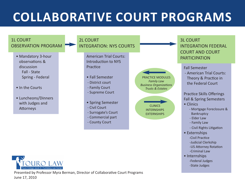# **COLLABORATIVE COURT PROGRAMS**



-Criminal Law

-Federal Judges -State Judges

• Internships

ege Jacob D. Fuchsberg Lay

Presented by Professor Myra Berman, Director of Collaborative Court Programs June 17, 2010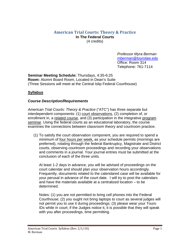### **American Trial Courts: Theory & Practice In The Federal Courts**  (4 credits)

*Professor Myra Berman mberman@tourolaw.edu* Office: Room 314 Telephone: 761-7114

**Seminar Meeting Schedule:** Thursdays, 4:35-6:25 **Room:** Alumni Board Room, Located in Dean's Suite (Three Sessions will meet at the Central Islip Federal Courthouse)

### **Syllabus**

### *Course Description/Requirements*

*American Trial Courts: Theory & Practice* ("ATC") has three separate but interdependent components: (1) court observations, (2) completion of, or enrollment in, a related course, and (3) participation in the integrative program seminar. Using the federal courts as an educational laboratory, the course examines the connections between classroom theory and courtroom practice.

(1) To satisfy the court observation component, you are required to spend a minimum of four hours per week, as your schedule permits (mornings are preferred), rotating through the federal Bankruptcy, Magistrate and District courts, observing courtroom proceedings and recording your observations and comments in a journal. Your journal entries must be submitted at the conclusion of each of the three units.

At least 1-2 days in advance, you will be advised of proceedings on the court calendar and should plan your observation hours accordingly. Frequently, documents related to the calendared case will be available for your perusal in advance of the court date. I will try to post the calendars and have the materials available at a centralized location – to be determined.

Notes: (1) you are not permitted to bring cell phones into the Federal Courthouse; (2) you ought not bring laptops to court as several judges will not permit you to use it during proceedings; (3) please wear your Touro IDs while in court; if the Judges notice it, it is possible that they will speak with you after proceedings, time permitting.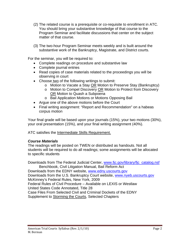- (2) The related course is a prerequisite or co-requisite to enrollment in ATC*.*  You should bring your substantive knowledge of that course to the Program Seminar and facilitate discussions that center on the subject matter of that course.
- (3) The two-hour Program Seminar meets weekly and is built around the substantive work of the Bankruptcy, Magistrate, and District courts.

For the seminar, you will be required to:

- Complete readings on procedure and substantive law
- Complete journal entries
- Read copies of case materials related to the proceedings you will be observing in court
- Choose two of the following writings to submit:
	- o Motion to Vacate a Stay OR Motion to Preserve Stay (Bankruptcy)
	- o Motion to Compel Discovery OR Motion to Protect from Discovery OR Motion to Quash a Subpoena
	- o Bail Application Motions or Motions Opposing Bail
- Argue one of the above motions before the Court
- Final writing assignment: "Report and Recommendation" on a habeas corpus motion

Your final grade will be based upon your journals (15%), your two motions (30%), your oral presentation (15%), and your final writing assignment (40%).

ATC satisfies the Intermediate Skills Requirement.

### *Course Materials*

The readings will be posted on TWEN or distributed as handouts. Not all students will be required to do all readings; some assignments will be allocated to specific students

Downloads from The Federal Judicial Center, www.fjc.gov/library/fjc\_catalog.nsf Benchbook, Civil Litigation Manual, Bail Reform Act

Downloads from the EDNY website, www.edny.uscourts.gov Downloads from the U.S. Bankruptcy Court website, www.nyeb.uscourts.gov McKinney's Federal Rules, New York, 2009 Federal Rules of Civil Procedure – Available on LEXIS or Westlaw United States Code Annotated, Title 28 Case Files From Selected Civil and Criminal Dockets of the EDNY Supplement to Storming the Courts, Selected Chapters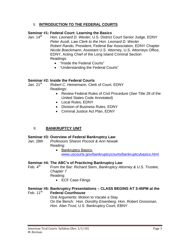### **I. INTRODUCTION TO THE FEDERAL COURTS**

### **Seminar #1: Federal Court: Learning the Basics**

Jan. 14<sup>th</sup> *Hon. Leonard D. Wexler*, U.S. District Court Senior Judge, EDNY *Peter Ausili, Law Clerk to the Hon. Leonard D. Wexler Robert Rando,* President, Federal Bar Association, EDNY Chapter *Nicole Boeckmann,* Assistant U.S. Attorney, U.S. Attorneys Office, EDNY, Acting Chief of the Long Island Criminal Section Readings:

- "Inside the Federal Courts"
- "Understanding the Federal Courts"

### **Seminar #2: Inside the Federal Courts**

Jan. 21<sup>st</sup> Robert C. Heinemann, Clerk of Court, EDNY Readings:

- Review Federal Rules of Civil Procedure (*See* Title 28 of the United States Code Annotated)
- Local Rules, EDNY
- Division of Business Rules, EDNY
- Criminal Justice Act Plan, EDNY

### II. **BANKRUPTCY UNIT**

### **Seminar #3: Overview of Federal Bankruptcy Law**

- Jan. 28th *Professors Sharon Pocock & Ann Nowak* Reading:
	- Bankruptcy Basics, www.uscourts.gov/bankruptcycourts/bankruptcybasics.html

### **Seminar #4: The ABC's of Practicing Bankruptcy Law** Feb. 4<sup>th</sup> From the Bar: Richard Stern. *Bankruptcy Att*

- From the Bar: Richard Stern, *Bankruptcy Attorney & U.S. Trustee, Chapter 7*  Reading:
	- ECF Case Filings

### **Seminar #5: Bankruptcy Presentations – CLASS BEGINS AT 3:45PM at the Federal Courthouse**

 Oral Arguments: Motion to Vacate a Stay On the Bench*: Hon. Dorothy Eisenberg, Hon. Robert Grossman, Hon. Alan Trust,* U.S. Bankruptcy Court, EBNY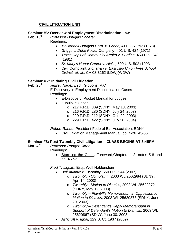### **III. CIVIL LITIGATION UNIT**

### **Seminar #6: Overview of Employment Discrimination Law**

Feb. 18th *Professor Douglas Scherer*  Readings:

- *McDonnell-Douglas Corp. v. Green,* 411 U.S. 792 (1973)
- *Griggs v. Duke Power Company*, 401 U.S. 424 (1971)
- *Texas Dep't.of Community Affairs v. Burdine*, 450 U.S. 248 (1981)
- *St. Mary's Honor Center v. Hicks,* 509 U.S. 502 (1993
- Civil Complaint, *Monahan v. East Islip Union Free School District, et. al.,* CV 08-3262 (LDW)(WDW)

### **Seminar # 7: Initiating Civil Litigation**

Feb. 25th*Jeffrey Nagel*, *Esq.,* Gibbons, P.C **E-Discovery in Employment Discrimination Cases** Readings:

- E-Discovery, Pocket Manual for Judges
- Zubulake Cases
	- o 217 F.R.D. 309 (SDNY, May 13, 2003)
	- o 216 F.R.D. 280 (SDNY, July 24, 2003)
	- o 220 F.R.D. 212 (SDNY, Oct. 22, 2003)
	- o 229 F.R.D. 422 (SDNY, July 20, 2004)

*Robert Rando,* President Federal Bar Association, EDNY

• Civil Litigation Management Manual, pp. 4-26, 43-56

### **Seminar #8: Post-Twombly Civil Litigation** - **CLASS BEGINS AT 3:45PM**

- 
- Mar. 4<sup>th</sup> *Professor Rodger Citron*  Readings:
	- Storming the Court, Foreward,Chapters 1-2, notes 5-8 and pp. 45-52.

*Fred T. Isquith*, Esq., Wolf Haldenstein

- *Bell Atlantic v. Twombly,* 550 U.S. 544 (2007)
	- o *Twombly Complaint,* 2003 WL 2562984 (SDNY, Apr. 14, 2003)
	- o *Twombly Motion to Dismiss,* 2003 WL 25629872 (SDNY, May 12, 2003)
	- o *Twombly Plaintiff's Memorandum in Opposition to Motion to Dismiss*, 2003 WL 25629873 (SDNY, June 20, 2003)
	- o *Twombly Defendant's Reply Memorandum in Support of Defendant's Motion to Dismiss,* 2003 WL 25629867 (SDNY, June 30, 2003)
- *Ashcroft v. Iqbal,* 129 S. Ct. 1937 (2009)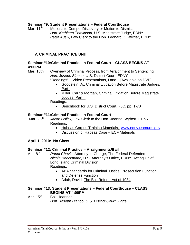### **Seminar #9: Student Presentations – Federal Courthouse**

Mar. 11<sup>th</sup> Motions to Compel Discovery or Motion to Dismiss *Hon. Kathleen Tomlinson,* U.S. Magistrate Judge, EDNY *Peter Ausili,* Law Clerk to the Hon. Leonard D. Wexler, EDNY

### **IV. CRIMINAL PRACTICE UNIT**

### **Seminar #10:Criminal Practice in Federal Court – CLASS BEGINS AT 4:00PM**

Mar. 18th Overview of Criminal Process, from Arraignment to Sentencing *Hon. Joseph Bianco,* U.S. District Court, EDNY"Readings" – Video Presentations, I and II [Available on DVD]

- Goodstein, A., Criminal Litigation Before Magistrate Judges: Part I
- Miller, Carr & Morgan, Criminal Litigation Before Magistrate Judges: Part II

Readings:

• Benchbook for U.S. District Court, FJC, pp. 1-70

### **Seminar #11:Criminal Practice in Federal Court**

Mar. 25<sup>th</sup> Jacob Oslick, Law Clerk to the Hon. Joanna Seybert, EDNY Readings:

- Habeas Corpus Training Materials, www.edny.uscourts.gov.
- Discussion of Habeas Case ECF Materials

### **April 1, 2010: No Class**

### **Seminar #12: Criminal Practice – Arraignments/Bail**

Apr. 8<sup>th</sup> *Randi Chavis*, Attorney-in-Charge, The Federal Defenders *Nicole Boeckmann,* U.S. Attorney's Office, EDNY, Acting Chief, Long Island Criminal Division Readings:

- ABA Standards for Criminal Justice: Prosecution Function and Defense Function
- Adair, David, The Bail Reform Act of 1984

### **Seminar #13: Student Presentations – Federal Courthouse – CLASS BEGINS AT 4:00PM**

Apr. 15<sup>th</sup> Bail Hearings *Hon. Joseph Bianco, U.S. District Court Judge*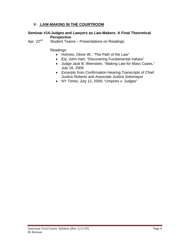### **V. LAW-MAKING IN THE COURTROOM**

### **Seminar #14:Judges and Lawyers as Law-Makers: A Final Theoretical Perspective**

Apr. 22<sup>nd</sup> Student Teams – Presentations on Readings

Readings:

- Holmes, Oliver W., "The Path of the Law"
- Ely, John Hart, "Discovering Fundamental Values"
- Judge Jack B. Weinstein, "Making Law for Mass Cases," July 16, 2009
- Excerpts from Confirmation Hearing Transcripts of Chief Justice Roberts and Associate Justice Sotomayor
- NY Times, July 12, 2009, "Umpires v. Judges"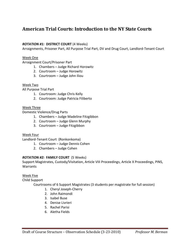### **American Trial Courts: Introduction to the NY State Courts**

### *ROTATION #1:* **DISTRICT COURT** (4 Weeks)

Arraignments, Prisoner Part, All Purpose Trial Part, DV and Drug Court, Landlord-Tenant Court

### Week One

Arraignment Court/Prisoner Part

- 1. Chambers Judge Richard Horowitz
- 2. Courtroom Judge Horowitz
- 3. Courtroom Judge John Iliou

### Week Two

All Purpose Trial Part

- 1. Courtroom: Judge Chris Kelly
- 2. Courtroom: Judge Patricia Filiberto

### Week Three

Domestic Violence/Drug Parts

- 1. Chambers Judge Madeline Fitzgibbon
- 2. Courtroom Judge Glenn Murphy
- 3. Courtroom Judge Fitzgibbon

### Week Four

Landlord-Tenant Court (Ronkonkoma)

- 1. Courtroom Judge Dennis Cohen
- 2. Chambers Judge Cohen

### *ROTATION #2:* **FAMILY COURT** (5 Weeks)

Support Magistrates, Custody/Visitation, Article VIII Proceedings, Article X Proceedings, PINS, Warrants

### Week Five

Child Support

Courtrooms of 6 Support Magistrates (3 students per magistrate for full session)

- 1. Cheryl Joseph-Cherry
- 2. John Raimondi
- 3. Isabel Buse
- 4. Denise Livrieri
- 5. Rachel Parisi
- 6. Aletha Fields